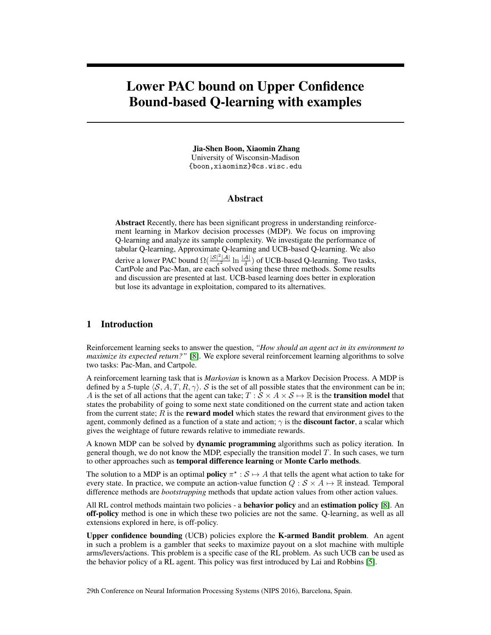# Lower PAC bound on Upper Confidence Bound-based Q-learning with examples

Jia-Shen Boon, Xiaomin Zhang University of Wisconsin-Madison {boon,xiaominz}@cs.wisc.edu

#### Abstract

Abstract Recently, there has been significant progress in understanding reinforcement learning in Markov decision processes (MDP). We focus on improving Q-learning and analyze its sample complexity. We investigate the performance of tabular Q-learning, Approximate Q-learning and UCB-based Q-learning. We also derive a lower PAC bound  $\Omega(\frac{|\mathcal{S}|^2|\mathcal{A}|}{\epsilon^2})$  $\frac{|^2|A|}{\epsilon^2}$  ln  $\frac{|A|}{\delta}$ ) of UCB-based Q-learning. Two tasks, CartPole and Pac-Man, are each solved using these three methods. Some results and discussion are presented at last. UCB-based learning does better in exploration but lose its advantage in exploitation, compared to its alternatives.

# 1 Introduction

Reinforcement learning seeks to answer the question, *"How should an agent act in its environment to maximize its expected return?"* [\[8\]](#page-4-0). We explore several reinforcement learning algorithms to solve two tasks: Pac-Man, and Cartpole.

A reinforcement learning task that is *Markovian* is known as a Markov Decision Process. A MDP is defined by a 5-tuple  $\langle S, A, T, R, \gamma \rangle$ . S is the set of all possible states that the environment can be in; A is the set of all actions that the agent can take;  $T : \mathcal{S} \times A \times \mathcal{S} \mapsto \mathbb{R}$  is the **transition model** that states the probability of going to some next state conditioned on the current state and action taken from the current state;  $R$  is the **reward model** which states the reward that environment gives to the agent, commonly defined as a function of a state and action;  $\gamma$  is the **discount factor**, a scalar which gives the weightage of future rewards relative to immediate rewards.

A known MDP can be solved by **dynamic programming** algorithms such as policy iteration. In general though, we do not know the MDP, especially the transition model  $T$ . In such cases, we turn to other approaches such as temporal difference learning or Monte Carlo methods.

The solution to a MDP is an optimal **policy**  $\pi^* : \mathcal{S} \mapsto A$  that tells the agent what action to take for every state. In practice, we compute an action-value function  $Q : \mathcal{S} \times A \mapsto \mathbb{R}$  instead. Temporal difference methods are *bootstrapping* methods that update action values from other action values.

All RL control methods maintain two policies - a behavior policy and an estimation policy [\[8\]](#page-4-0). An off-policy method is one in which these two policies are not the same. Q-learning, as well as all extensions explored in here, is off-policy.

Upper confidence bounding (UCB) policies explore the K-armed Bandit problem. An agent in such a problem is a gambler that seeks to maximize payout on a slot machine with multiple arms/levers/actions. This problem is a specific case of the RL problem. As such UCB can be used as the behavior policy of a RL agent. This policy was first introduced by Lai and Robbins [\[5\]](#page-4-1).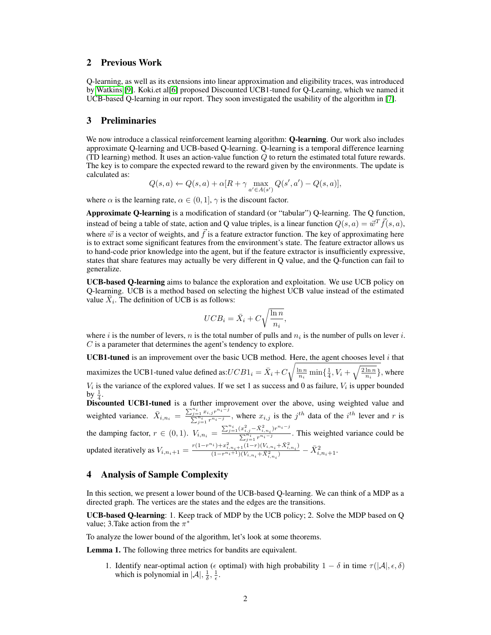# 2 Previous Work

Q-learning, as well as its extensions into linear approximation and eligibility traces, was introduced by [Watkins](#page-4-2) [\[9\]](#page-4-2). Koki.et al[\[6\]](#page-4-3) proposed Discounted UCB1-tuned for Q-Learning, which we named it UCB-based Q-learning in our report. They soon investigated the usability of the algorithm in [\[7\]](#page-4-4).

#### 3 Preliminaries

We now introduce a classical reinforcement learning algorithm: **O-learning**. Our work also includes approximate Q-learning and UCB-based Q-learning. Q-learning is a temporal difference learning (TD learning) method. It uses an action-value function  $Q$  to return the estimated total future rewards. The key is to compare the expected reward to the reward given by the environments. The update is calculated as:

$$
Q(s,a) \leftarrow Q(s,a) + \alpha [R + \gamma \max_{a' \in A(s')} Q(s',a') - Q(s,a)],
$$

where  $\alpha$  is the learning rate,  $\alpha \in (0, 1]$ ,  $\gamma$  is the discount factor.

Approximate Q-learning is a modification of standard (or "tabular") Q-learning. The Q function, instead of being a table of state, action and Q value triples, is a linear function  $Q(s, a) = \vec{w}^T \vec{f}(s, a)$ , where  $\vec{w}$  is a vector of weights, and  $\vec{f}$  is a feature extractor function. The key of approximating here is to extract some significant features from the environment's state. The feature extractor allows us to hand-code prior knowledge into the agent, but if the feature extractor is insufficiently expressive, states that share features may actually be very different in Q value, and the Q-function can fail to generalize.

UCB-based Q-learning aims to balance the exploration and exploitation. We use UCB policy on Q-learning. UCB is a method based on selecting the highest UCB value instead of the estimated value  $\bar{X}_i$ . The definition of UCB is as follows:

$$
UCB_i = \bar{X}_i + C\sqrt{\frac{\ln n}{n_i}},
$$

where i is the number of levers, n is the total number of pulls and  $n_i$  is the number of pulls on lever i. C is a parameter that determines the agent's tendency to explore.

**UCB1-tuned** is an improvement over the basic UCB method. Here, the agent chooses level  $i$  that maximizes the UCB1-tuned value defined as: $UCB1_i = \bar{X}_i + C\sqrt{\frac{\ln n}{n_i} \min\{\frac{1}{4}, V_i + \sqrt{\frac{2\ln n}{n_i}}\}}$ , where  $V_i$  is the variance of the explored values. If we set 1 as success and 0 as failure,  $V_i$  is upper bounded by  $\frac{1}{4}$ .  $\frac{dy}{dt}$ .<br>**Discounted UCB1-tuned** is a further improvement over the above, using weighted value and

weighted variance.  $\bar{X}_{i,n_i} = \frac{\sum_{j=1}^{n_i} x_{i,j} r^{n_i - j}}{\sum_{j=1}^{n_i} r^{n_i - j}}$  $\sum_{j=1}^{n} \frac{x_{i,j}r^{i}}{r^{n_i-j}}$ , where  $x_{i,j}$  is the  $j^{th}$  data of the  $i^{th}$  lever and r is the damping factor,  $r \in (0, 1)$ .  $V_{i, n_i} = \frac{\sum_{j=1}^{n_i} (x_{i,j}^2 - \bar{X}_{i, n_i}^2) r^{n_i - j}}{\sum_{j=1}^{n_i} r^{n_i - j}}$  $\frac{\sum_{j=1}^{n_i} r^{n_i-j}}{\sum_{j=1}^{n_i} r^{n_i-j}}$ . This weighted variance could be updated iteratively as  $V_{i,n_i+1} = \frac{r(1-r^{n_i}) + x_{i,n_i+1}^2(1-r)(V_{i,n_i} + \bar{X}_{i,n_i}^2)}{(1-r^{n_i+1})(V_{i,n_i} + \bar{X}_i^2)}$  $\frac{\bar{X}_i^2+ x_{i,n_i+1}^2(1-r)(V_{i,n_i}+X_{i,n_i}^2)}{(1-r^{n_i+1})(V_{i,n_i}+\bar{X}_{i,n_i}^2)} - \bar{X}_{i,n_i+1}^2$ 

# 4 Analysis of Sample Complexity

In this section, we present a lower bound of the UCB-based Q-learning. We can think of a MDP as a directed graph. The vertices are the states and the edges are the transitions.

UCB-based Q-learning: 1. Keep track of MDP by the UCB policy; 2. Solve the MDP based on Q value; 3.Take action from the  $\pi^*$ 

To analyze the lower bound of the algorithm, let's look at some theorems.

Lemma 1. The following three metrics for bandits are equivalent.

1. Identify near-optimal action ( $\epsilon$  optimal) with high probability  $1 - \delta$  in time  $\tau(|\mathcal{A}|, \epsilon, \delta)$ which is polynomial in  $|\mathcal{A}|, \frac{1}{\delta}, \frac{1}{\epsilon}$ .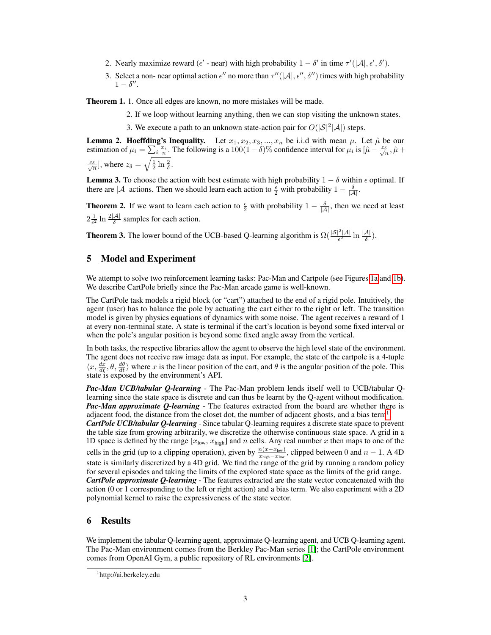- 2. Nearly maximize reward ( $\epsilon'$  near) with high probability  $1 \delta'$  in time  $\tau'(|A|, \epsilon', \delta')$ .
- 3. Select a non- near optimal action  $\epsilon''$  no more than  $\tau''(|A|, \epsilon'', \delta'')$  times with high probability  $1-\delta''$ .

Theorem 1. 1. Once all edges are known, no more mistakes will be made.

- 2. If we loop without learning anything, then we can stop visiting the unknown states.
- 3. We execute a path to an unknown state-action pair for  $O(|\mathcal{S}|^2|\mathcal{A}|)$  steps.

**Lemma 2. Hoeffding's Inequality.** Let  $x_1, x_2, x_3, ..., x_n$  be i.i.d with mean  $\mu$ . Let  $\hat{\mu}$  be our estimation of  $\mu_i = \sum_i \frac{x_i}{n}$ . The following is a 100(1 – δ)% confidence interval for  $\mu_i$  is  $\left[\hat{\mu} - \frac{z_{\delta}}{\sqrt{n}}, \hat{\mu} + \hat{\mu} \right]$  $\frac{z_{\delta}}{\sqrt{n}}$ , where  $z_{\delta} = \sqrt{\frac{1}{2} \ln \frac{2}{\delta}}$ .

**Lemma 3.** To choose the action with best estimate with high probability  $1 - \delta$  within  $\epsilon$  optimal. If there are |A| actions. Then we should learn each action to  $\frac{\epsilon}{2}$  with probability  $1 - \frac{\delta}{|A|}$ .

**Theorem 2.** If we want to learn each action to  $\frac{\epsilon}{2}$  with probability  $1 - \frac{\delta}{|\mathcal{A}|}$ , then we need at least  $2\frac{1}{\epsilon^2} \ln \frac{2|\mathcal{A}|}{\delta}$  samples for each action.

**Theorem 3.** The lower bound of the UCB-based Q-learning algorithm is  $\Omega\left(\frac{|S|^2|A|}{\epsilon^2}\right)$  $rac{|\mathcal{A}|}{\epsilon^2} \ln \frac{|\mathcal{A}|}{\delta}.$ 

# 5 Model and Experiment

We attempt to solve two reinforcement learning tasks: Pac-Man and Cartpole (see Figures [1a](#page-3-0) and [1b\)](#page-3-0). We describe CartPole briefly since the Pac-Man arcade game is well-known.

The CartPole task models a rigid block (or "cart") attached to the end of a rigid pole. Intuitively, the agent (user) has to balance the pole by actuating the cart either to the right or left. The transition model is given by physics equations of dynamics with some noise. The agent receives a reward of 1 at every non-terminal state. A state is terminal if the cart's location is beyond some fixed interval or when the pole's angular position is beyond some fixed angle away from the vertical.

In both tasks, the respective libraries allow the agent to observe the high level state of the environment. The agent does not receive raw image data as input. For example, the state of the cartpole is a 4-tuple  $\langle x, \frac{dx}{dt}, \theta, \frac{d\theta}{dt} \rangle$  where x is the linear position of the cart, and  $\theta$  is the angular position of the pole. This state is exposed by the environment's API.

*Pac-Man UCB/tabular Q-learning* - The Pac-Man problem lends itself well to UCB/tabular Qlearning since the state space is discrete and can thus be learnt by the Q-agent without modification. *Pac-Man approximate Q-learning* - The features extracted from the board are whether there is adjacent food, the distance from the closet dot, the number of adjacent ghosts, and a bias term<sup>[1](#page-2-0)</sup>.

*CartPole UCB/tabular Q-learning* - Since tabular Q-learning requires a discrete state space to prevent the table size from growing arbitrarily, we discretize the otherwise continuous state space. A grid in a 1D space is defined by the range  $[x_{low}, x_{high}]$  and n cells. Any real number x then maps to one of the cells in the grid (up to a clipping operation), given by  $\frac{n(x-x_{low})}{x_{high}-x_{low}}$ , clipped between 0 and  $n-1$ . A 4D state is similarly discretized by a 4D grid. We find the range of the grid by running a random policy for several episodes and taking the limits of the explored state space as the limits of the grid range. *CartPole approximate Q-learning* - The features extracted are the state vector concatenated with the action (0 or 1 corresponding to the left or right action) and a bias term. We also experiment with a 2D polynomial kernel to raise the expressiveness of the state vector.

# 6 Results

We implement the tabular Q-learning agent, approximate Q-learning agent, and UCB Q-learning agent. The Pac-Man environment comes from the Berkley Pac-Man series [\[1\]](#page-3-1); the CartPole environment comes from OpenAI Gym, a public repository of RL environments [\[2\]](#page-4-5).

<span id="page-2-0"></span><sup>1</sup> http://ai.berkeley.edu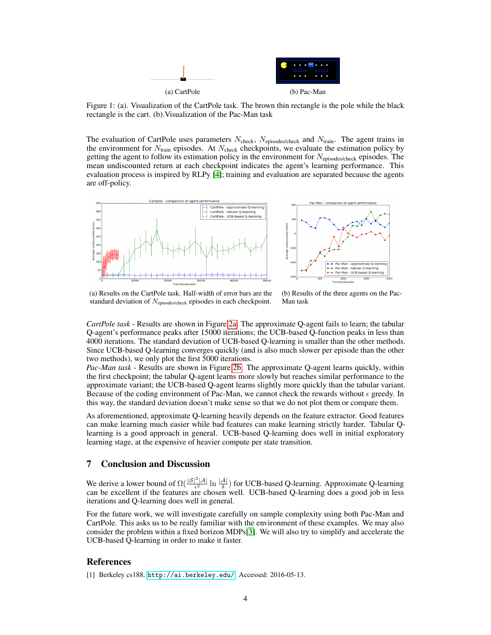

<span id="page-3-0"></span>Figure 1: (a). Visualization of the CartPole task. The brown thin rectangle is the pole while the black rectangle is the cart. (b).Visualization of the Pac-Man task

The evaluation of CartPole uses parameters  $N_{\text{check}}$ ,  $N_{\text{episodes/check}}$  and  $N_{\text{train}}$ . The agent trains in the environment for  $N_{\text{train}}$  episodes. At  $N_{\text{check}}$  checkpoints, we evaluate the estimation policy by getting the agent to follow its estimation policy in the environment for N<sub>episodes/check</sub> episodes. The mean undiscounted return at each checkpoint indicates the agent's learning performance. This evaluation process is inspired by RLPy [\[4\]](#page-4-6); training and evaluation are separated because the agents are off-policy.

<span id="page-3-2"></span>

(a) Results on the CartPole task. Half-width of error bars are the standard deviation of Nepisodes/check episodes in each checkpoint.

(b) Results of the three agents on the Pac-Man task

*CartPole task* - Results are shown in Figure [2a.](#page-3-2) The approximate Q-agent fails to learn; the tabular Q-agent's performance peaks after 15000 iterations; the UCB-based Q-function peaks in less than 4000 iterations. The standard deviation of UCB-based Q-learning is smaller than the other methods. Since UCB-based Q-learning converges quickly (and is also much slower per episode than the other two methods), we only plot the first 5000 iterations.

*Pac-Man task* - Results are shown in Figure [2b.](#page-3-2) The approximate Q-agent learns quickly, within the first checkpoint; the tabular Q-agent learns more slowly but reaches similar performance to the approximate variant; the UCB-based Q-agent learns slightly more quickly than the tabular variant. Because of the coding environment of Pac-Man, we cannot check the rewards without  $\epsilon$  greedy. In this way, the standard deviation doesn't make sense so that we do not plot them or compare them.

As aforementioned, approximate Q-learning heavily depends on the feature extractor. Good features can make learning much easier while bad features can make learning strictly harder. Tabular Qlearning is a good approach in general. UCB-based Q-learning does well in initial exploratory learning stage, at the expensive of heavier compute per state transition.

#### 7 Conclusion and Discussion

We derive a lower bound of  $\Omega\left(\frac{|\mathcal{S}|^2 |\mathcal{A}|}{\epsilon^2}\right)$  $\frac{2|A|}{\epsilon^2}$  ln  $\frac{|A|}{\delta}$ ) for UCB-based Q-learning. Approximate Q-learning can be excellent if the features are chosen well. UCB-based Q-learning does a good job in less iterations and Q-learning does well in general.

For the future work, we will investigate carefully on sample complexity using both Pac-Man and CartPole. This asks us to be really familiar with the environment of these examples. We may also consider the problem within a fixed horizon MDPs[\[3\]](#page-4-7). We will also try to simplify and accelerate the UCB-based Q-learning in order to make it faster.

# References

<span id="page-3-1"></span>[1] Berkeley cs188. <http://ai.berkeley.edu/>. Accessed: 2016-05-13.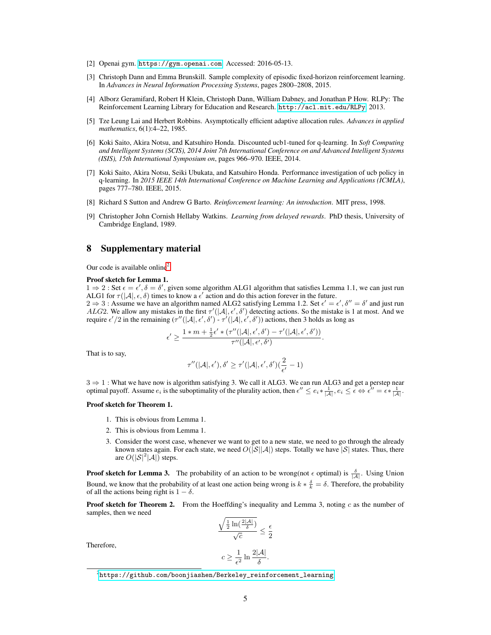- <span id="page-4-5"></span>[2] Openai gym. <https://gym.openai.com>. Accessed: 2016-05-13.
- <span id="page-4-7"></span>[3] Christoph Dann and Emma Brunskill. Sample complexity of episodic fixed-horizon reinforcement learning. In *Advances in Neural Information Processing Systems*, pages 2800–2808, 2015.
- <span id="page-4-6"></span>[4] Alborz Geramifard, Robert H Klein, Christoph Dann, William Dabney, and Jonathan P How. RLPy: The Reinforcement Learning Library for Education and Research. <http://acl.mit.edu/RLPy>, 2013.
- <span id="page-4-1"></span>[5] Tze Leung Lai and Herbert Robbins. Asymptotically efficient adaptive allocation rules. *Advances in applied mathematics*, 6(1):4–22, 1985.
- <span id="page-4-3"></span>[6] Koki Saito, Akira Notsu, and Katsuhiro Honda. Discounted ucb1-tuned for q-learning. In *Soft Computing and Intelligent Systems (SCIS), 2014 Joint 7th International Conference on and Advanced Intelligent Systems (ISIS), 15th International Symposium on*, pages 966–970. IEEE, 2014.
- <span id="page-4-4"></span>[7] Koki Saito, Akira Notsu, Seiki Ubukata, and Katsuhiro Honda. Performance investigation of ucb policy in q-learning. In *2015 IEEE 14th International Conference on Machine Learning and Applications (ICMLA)*, pages 777–780. IEEE, 2015.
- <span id="page-4-0"></span>[8] Richard S Sutton and Andrew G Barto. *Reinforcement learning: An introduction*. MIT press, 1998.
- <span id="page-4-2"></span>[9] Christopher John Cornish Hellaby Watkins. *Learning from delayed rewards*. PhD thesis, University of Cambridge England, 1989.

#### 8 Supplementary material

Our code is available online<sup>[2](#page-4-8)</sup>.

#### Proof sketch for Lemma 1.

 $1 \Rightarrow 2$ : Set  $\epsilon = \epsilon', \delta = \delta'$ , given some algorithm ALG1 algorithm that satisfies Lemma 1.1, we can just run ALG1 for  $\tau(|A|, \epsilon, \delta)$  times to know a  $\epsilon'$  action and do this action forever in the future.

 $2 \Rightarrow 3$ : Assume we have an algorithm named ALG2 satisfying Lemma 1.2. Set  $\epsilon' = \epsilon', \delta'' = \delta'$  and just run ALG2. We allow any mistakes in the first  $\tau'(|A|, \epsilon', \delta')$  detecting actions. So the mistake is 1 at most. And we require  $\epsilon'/2$  in the remaining  $(\tau''(|A|, \epsilon', \delta') - \tau'(|A|, \epsilon', \delta'))$  actions, then 3 holds as long as

$$
\epsilon' \geq \frac{1 \ast m + \frac{1}{2}\epsilon' \ast (\tau''(|\mathcal{A}|, \epsilon', \delta') - \tau'(|\mathcal{A}|, \epsilon', \delta'))}{\tau''(|\mathcal{A}|, \epsilon', \delta')}.
$$

That is to say,

$$
\tau''(|\mathcal{A}|, \epsilon'), \delta' \geq \tau'(|\mathcal{A}|, \epsilon', \delta')(\frac{2}{\epsilon'}-1)
$$

 $3 \Rightarrow 1$  : What we have now is algorithm satisfying 3. We call it ALG3. We can run ALG3 and get a perstep near optimal payoff. Assume  $e_i$  is the suboptimality of the plurality action, then  $\epsilon'' \leq e_i * \frac{1}{|A|}, e_i \leq \epsilon \Leftrightarrow \epsilon'' = \epsilon * \frac{1}{|A|}$ .

#### Proof sketch for Theorem 1.

- 1. This is obvious from Lemma 1.
- 2. This is obvious from Lemma 1.
- 3. Consider the worst case, whenever we want to get to a new state, we need to go through the already known states again. For each state, we need  $O(|\mathcal{S}||\mathcal{A}|)$  steps. Totally we have  $|\mathcal{S}|$  states. Thus, there are  $O(|\mathcal{S}|^2|\mathcal{A}|)$  steps.

**Proof sketch for Lemma 3.** The probability of an action to be wrong(not  $\epsilon$  optimal) is  $\frac{\delta}{|A|}$ . Using Union Bound, we know that the probability of at least one action being wrong is  $k * \frac{\delta}{k} = \delta$ . Therefore, the probability of all the actions being right is  $1 - \delta$ .

**Proof sketch for Theorem 2.** From the Hoeffding's inequality and Lemma 3, noting c as the number of samples, then we need

$$
\frac{\sqrt{\frac{1}{2}\ln\left(\frac{2|\mathcal{A}|}{\delta}\right)}}{\sqrt{c}} \le \frac{\epsilon}{2}
$$
  

$$
c \ge \frac{1}{\epsilon^2} \ln \frac{2|\mathcal{A}|}{\delta}.
$$

Therefore,

<span id="page-4-8"></span> $^{2}$ [https://github.com/boonjiashen/Berkeley\\_reinforcement\\_learning](https://github.com/boonjiashen/Berkeley_reinforcement_learning)